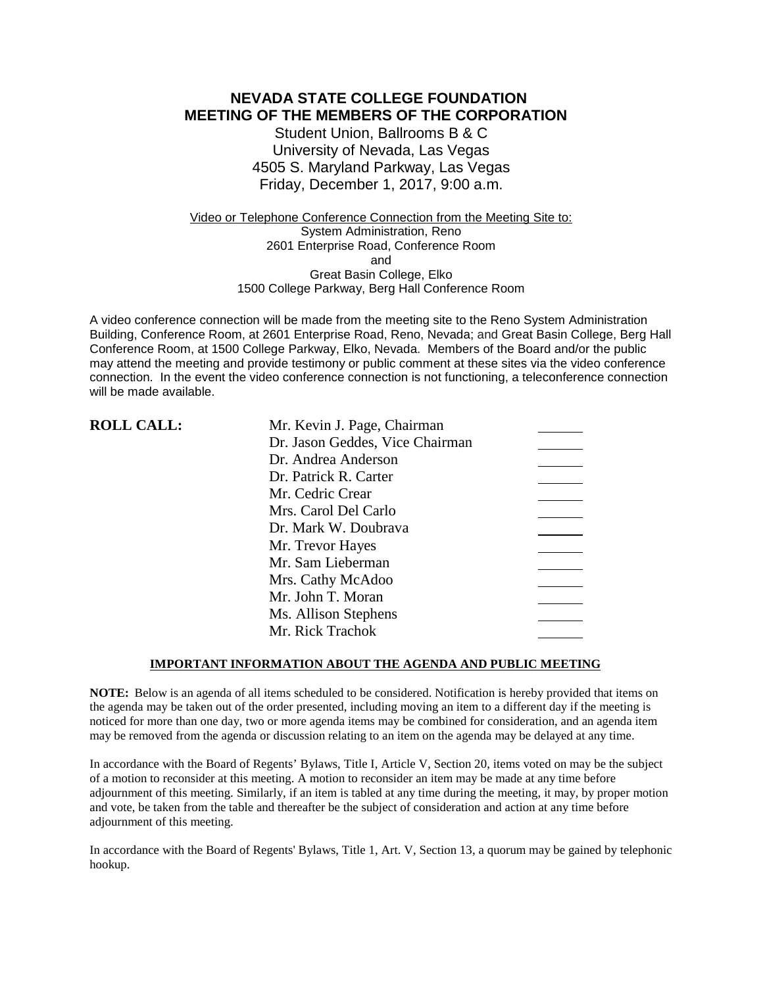### **NEVADA STATE COLLEGE FOUNDATION MEETING OF THE MEMBERS OF THE CORPORATION**

Student Union, Ballrooms B & C University of Nevada, Las Vegas 4505 S. Maryland Parkway, Las Vegas Friday, December 1, 2017, 9:00 a.m.

Video or Telephone Conference Connection from the Meeting Site to: System Administration, Reno 2601 Enterprise Road, Conference Room and Great Basin College, Elko 1500 College Parkway, Berg Hall Conference Room

A video conference connection will be made from the meeting site to the Reno System Administration Building, Conference Room, at 2601 Enterprise Road, Reno, Nevada; and Great Basin College, Berg Hall Conference Room, at 1500 College Parkway, Elko, Nevada. Members of the Board and/or the public may attend the meeting and provide testimony or public comment at these sites via the video conference connection. In the event the video conference connection is not functioning, a teleconference connection will be made available.

| <b>ROLL CALL:</b> | Mr. Kevin J. Page, Chairman     |  |
|-------------------|---------------------------------|--|
|                   | Dr. Jason Geddes, Vice Chairman |  |
|                   | Dr. Andrea Anderson             |  |
|                   | Dr. Patrick R. Carter           |  |
|                   | Mr. Cedric Crear                |  |
|                   | Mrs. Carol Del Carlo            |  |
|                   | Dr. Mark W. Doubrava            |  |
|                   | Mr. Trevor Hayes                |  |
|                   | Mr. Sam Lieberman               |  |
|                   | Mrs. Cathy McAdoo               |  |
|                   | Mr. John T. Moran               |  |
|                   | Ms. Allison Stephens            |  |
|                   | Mr. Rick Trachok                |  |

### **IMPORTANT INFORMATION ABOUT THE AGENDA AND PUBLIC MEETING**

**NOTE:** Below is an agenda of all items scheduled to be considered. Notification is hereby provided that items on the agenda may be taken out of the order presented, including moving an item to a different day if the meeting is noticed for more than one day, two or more agenda items may be combined for consideration, and an agenda item may be removed from the agenda or discussion relating to an item on the agenda may be delayed at any time.

In accordance with the Board of Regents' Bylaws, Title I, Article V, Section 20, items voted on may be the subject of a motion to reconsider at this meeting. A motion to reconsider an item may be made at any time before adjournment of this meeting. Similarly, if an item is tabled at any time during the meeting, it may, by proper motion and vote, be taken from the table and thereafter be the subject of consideration and action at any time before adjournment of this meeting.

In accordance with the Board of Regents' Bylaws, Title 1, Art. V, Section 13, a quorum may be gained by telephonic hookup.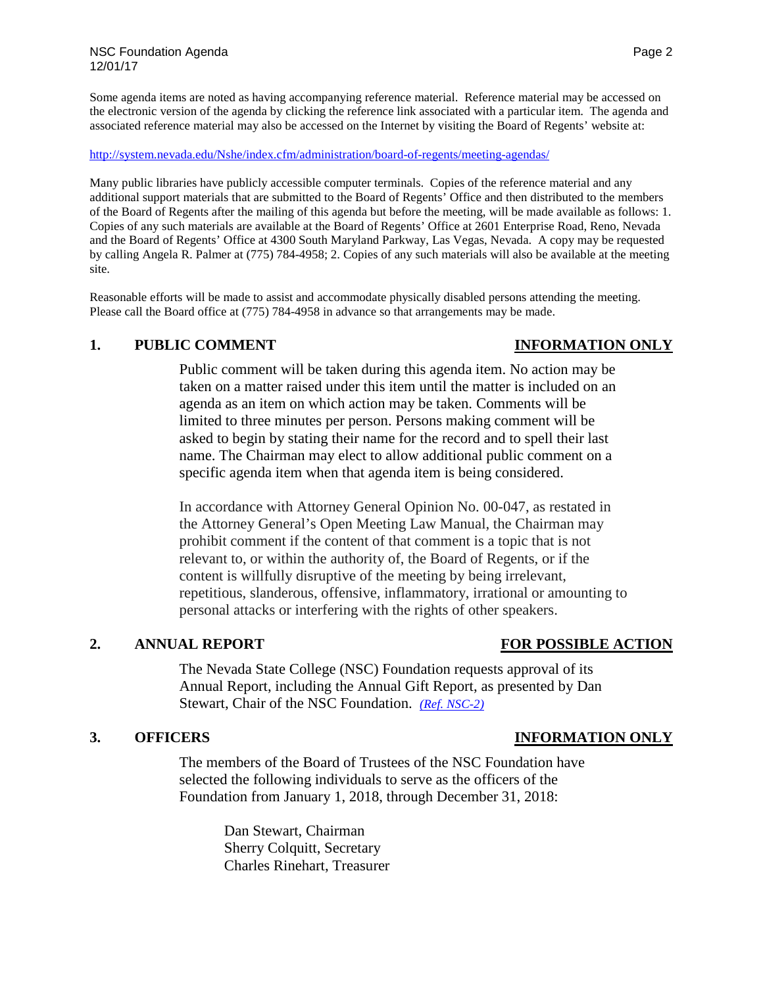Some agenda items are noted as having accompanying reference material. Reference material may be accessed on the electronic version of the agenda by clicking the reference link associated with a particular item. The agenda and associated reference material may also be accessed on the Internet by visiting the Board of Regents' website at:

<http://system.nevada.edu/Nshe/index.cfm/administration/board-of-regents/meeting-agendas/>

Many public libraries have publicly accessible computer terminals. Copies of the reference material and any additional support materials that are submitted to the Board of Regents' Office and then distributed to the members of the Board of Regents after the mailing of this agenda but before the meeting, will be made available as follows: 1. Copies of any such materials are available at the Board of Regents' Office at 2601 Enterprise Road, Reno, Nevada and the Board of Regents' Office at 4300 South Maryland Parkway, Las Vegas, Nevada. A copy may be requested by calling Angela R. Palmer at (775) 784-4958; 2. Copies of any such materials will also be available at the meeting site.

Reasonable efforts will be made to assist and accommodate physically disabled persons attending the meeting. Please call the Board office at (775) 784-4958 in advance so that arrangements may be made.

## **1. PUBLIC COMMENT INFORMATION ONLY**

Public comment will be taken during this agenda item. No action may be taken on a matter raised under this item until the matter is included on an agenda as an item on which action may be taken. Comments will be limited to three minutes per person. Persons making comment will be asked to begin by stating their name for the record and to spell their last name. The Chairman may elect to allow additional public comment on a specific agenda item when that agenda item is being considered.

In accordance with Attorney General Opinion No. 00-047, as restated in the Attorney General's Open Meeting Law Manual, the Chairman may prohibit comment if the content of that comment is a topic that is not relevant to, or within the authority of, the Board of Regents, or if the content is willfully disruptive of the meeting by being irrelevant, repetitious, slanderous, offensive, inflammatory, irrational or amounting to personal attacks or interfering with the rights of other speakers.

## **2. ANNUAL REPORT FOR POSSIBLE ACTION**

The Nevada State College (NSC) Foundation requests approval of its Annual Report, including the Annual Gift Report, as presented by Dan Stewart, Chair of the NSC Foundation. *[\(Ref. NSC-2\)](https://nshe.nevada.edu/wp-content/uploads/file/BoardOfRegents/Agendas/2017/nov-mtgs/foundation-refs/nsc/NSC-2.pdf)*

The members of the Board of Trustees of the NSC Foundation have selected the following individuals to serve as the officers of the Foundation from January 1, 2018, through December 31, 2018:

> Dan Stewart, Chairman Sherry Colquitt, Secretary Charles Rinehart, Treasurer

## **3. OFFICERS INFORMATION ONLY**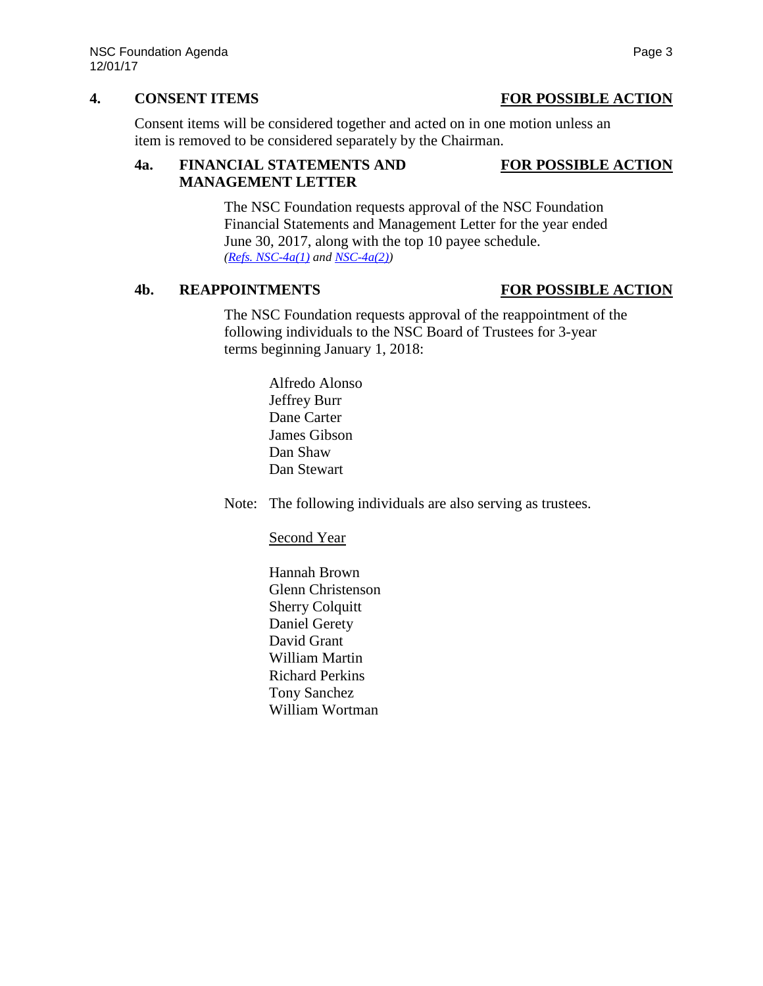## **4. CONSENT ITEMS FOR POSSIBLE ACTION**

Consent items will be considered together and acted on in one motion unless an item is removed to be considered separately by the Chairman.

## **4a. FINANCIAL STATEMENTS AND FOR POSSIBLE ACTION MANAGEMENT LETTER**

# The NSC Foundation requests approval of the NSC Foundation Financial Statements and Management Letter for the year ended June 30, 2017, along with the top 10 payee schedule. *[\(Refs. NSC-4a\(1\)](https://nshe.nevada.edu/wp-content/uploads/file/BoardOfRegents/Agendas/2017/nov-mtgs/foundation-refs/nsc/NSC-4a(1).pdf) and [NSC-4a\(2\)\)](https://nshe.nevada.edu/wp-content/uploads/file/BoardOfRegents/Agendas/2017/nov-mtgs/foundation-refs/nsc/NSC-4a(2).pdf)*

## **4b. REAPPOINTMENTS FOR POSSIBLE ACTION**

The NSC Foundation requests approval of the reappointment of the following individuals to the NSC Board of Trustees for 3-year terms beginning January 1, 2018:

> Alfredo Alonso Jeffrey Burr Dane Carter James Gibson Dan Shaw Dan Stewart

Note: The following individuals are also serving as trustees.

Second Year

Hannah Brown Glenn Christenson Sherry Colquitt Daniel Gerety David Grant William Martin Richard Perkins Tony Sanchez William Wortman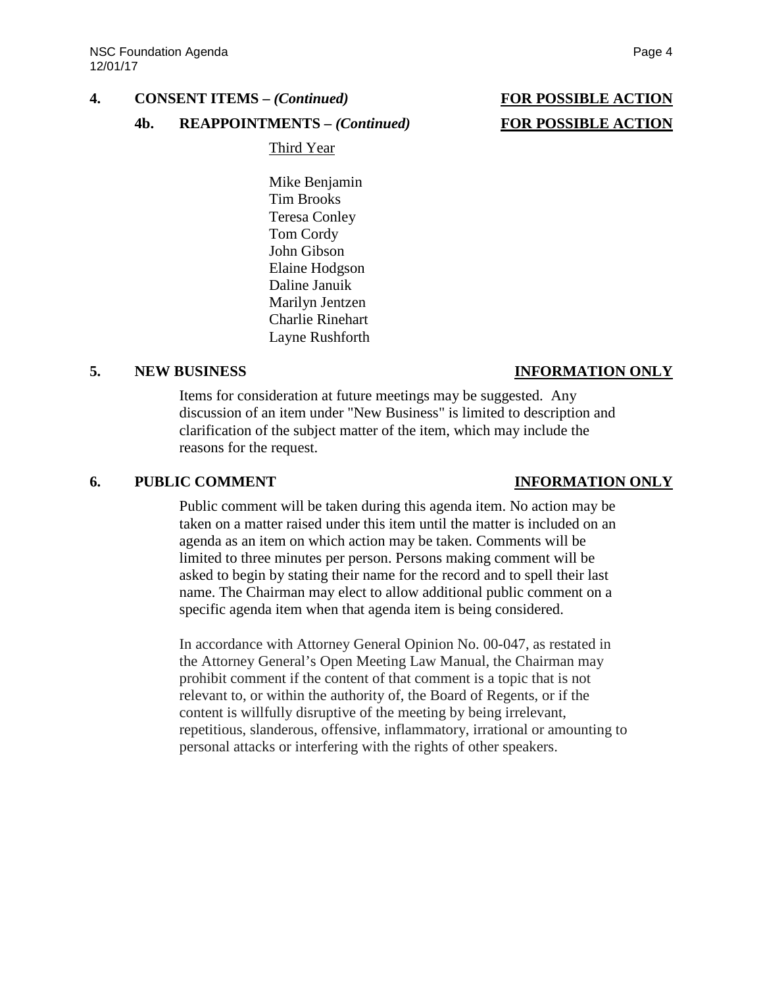## **4. CONSENT ITEMS –** *(Continued)* **FOR POSSIBLE ACTION**

### **4b. REAPPOINTMENTS –** *(Continued)* **FOR POSSIBLE ACTION**

Third Year

Mike Benjamin Tim Brooks Teresa Conley Tom Cordy John Gibson Elaine Hodgson Daline Januik Marilyn Jentzen Charlie Rinehart Layne Rushforth

### **5. NEW BUSINESS INFORMATION ONLY**

Items for consideration at future meetings may be suggested. Any discussion of an item under "New Business" is limited to description and clarification of the subject matter of the item, which may include the reasons for the request.

### **6. PUBLIC COMMENT INFORMATION ONLY**

Public comment will be taken during this agenda item. No action may be taken on a matter raised under this item until the matter is included on an agenda as an item on which action may be taken. Comments will be limited to three minutes per person. Persons making comment will be asked to begin by stating their name for the record and to spell their last name. The Chairman may elect to allow additional public comment on a specific agenda item when that agenda item is being considered.

In accordance with Attorney General Opinion No. 00-047, as restated in the Attorney General's Open Meeting Law Manual, the Chairman may prohibit comment if the content of that comment is a topic that is not relevant to, or within the authority of, the Board of Regents, or if the content is willfully disruptive of the meeting by being irrelevant, repetitious, slanderous, offensive, inflammatory, irrational or amounting to personal attacks or interfering with the rights of other speakers.